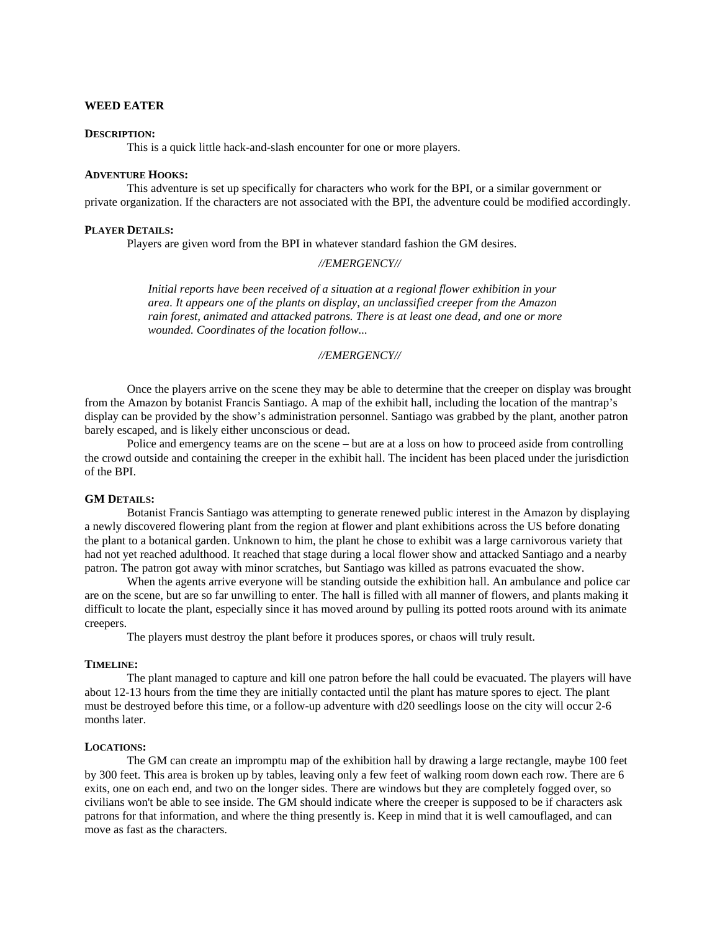## **WEED EATER**

### **DESCRIPTION:**

This is a quick little hack-and-slash encounter for one or more players.

# **ADVENTURE HOOKS:**

This adventure is set up specifically for characters who work for the BPI, or a similar government or private organization. If the characters are not associated with the BPI, the adventure could be modified accordingly.

### **PLAYER DETAILS:**

Players are given word from the BPI in whatever standard fashion the GM desires.

### *//EMERGENCY//*

*Initial reports have been received of a situation at a regional flower exhibition in your area. It appears one of the plants on display, an unclassified creeper from the Amazon rain forest, animated and attacked patrons. There is at least one dead, and one or more wounded. Coordinates of the location follow...* 

## *//EMERGENCY//*

 Once the players arrive on the scene they may be able to determine that the creeper on display was brought from the Amazon by botanist Francis Santiago. A map of the exhibit hall, including the location of the mantrap's display can be provided by the show's administration personnel. Santiago was grabbed by the plant, another patron barely escaped, and is likely either unconscious or dead.

 Police and emergency teams are on the scene – but are at a loss on how to proceed aside from controlling the crowd outside and containing the creeper in the exhibit hall. The incident has been placed under the jurisdiction of the BPI.

### **GM DETAILS:**

 Botanist Francis Santiago was attempting to generate renewed public interest in the Amazon by displaying a newly discovered flowering plant from the region at flower and plant exhibitions across the US before donating the plant to a botanical garden. Unknown to him, the plant he chose to exhibit was a large carnivorous variety that had not yet reached adulthood. It reached that stage during a local flower show and attacked Santiago and a nearby patron. The patron got away with minor scratches, but Santiago was killed as patrons evacuated the show.

 When the agents arrive everyone will be standing outside the exhibition hall. An ambulance and police car are on the scene, but are so far unwilling to enter. The hall is filled with all manner of flowers, and plants making it difficult to locate the plant, especially since it has moved around by pulling its potted roots around with its animate creepers.

The players must destroy the plant before it produces spores, or chaos will truly result.

### **TIMELINE:**

 The plant managed to capture and kill one patron before the hall could be evacuated. The players will have about 12-13 hours from the time they are initially contacted until the plant has mature spores to eject. The plant must be destroyed before this time, or a follow-up adventure with d20 seedlings loose on the city will occur 2-6 months later.

#### **LOCATIONS:**

 The GM can create an impromptu map of the exhibition hall by drawing a large rectangle, maybe 100 feet by 300 feet. This area is broken up by tables, leaving only a few feet of walking room down each row. There are 6 exits, one on each end, and two on the longer sides. There are windows but they are completely fogged over, so civilians won't be able to see inside. The GM should indicate where the creeper is supposed to be if characters ask patrons for that information, and where the thing presently is. Keep in mind that it is well camouflaged, and can move as fast as the characters.